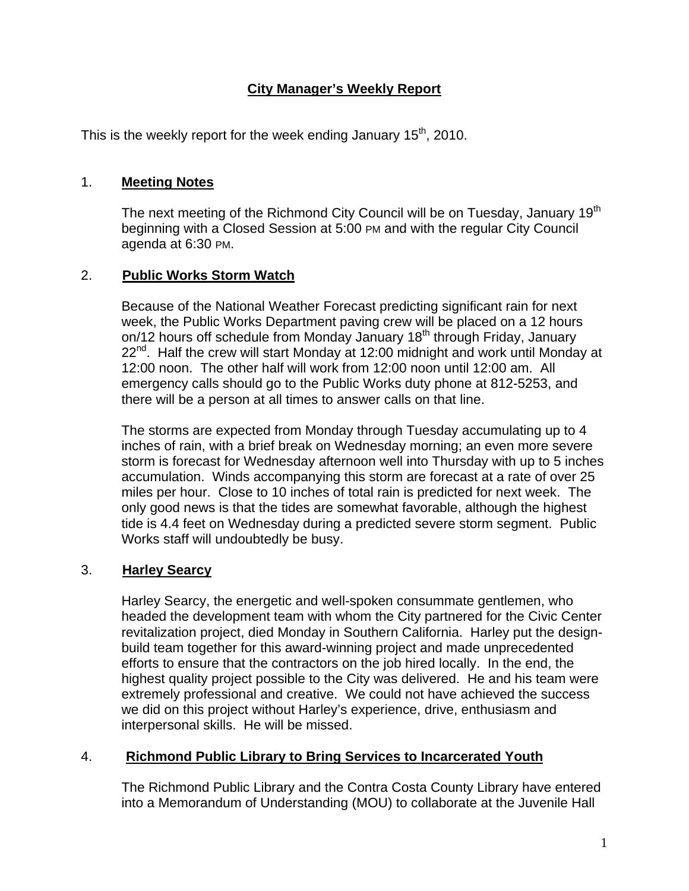# **City Manager's Weekly Report**

This is the weekly report for the week ending January  $15<sup>th</sup>$ , 2010.

### 1. **Meeting Notes**

The next meeting of the Richmond City Council will be on Tuesday, January 19<sup>th</sup> beginning with a Closed Session at 5:00 PM and with the regular City Council agenda at 6:30 PM.

# 2. **Public Works Storm Watch**

Because of the National Weather Forecast predicting significant rain for next week, the Public Works Department paving crew will be placed on a 12 hours on/12 hours off schedule from Monday January 18<sup>th</sup> through Friday, January  $22^{nd}$ . Half the crew will start Monday at 12:00 midnight and work until Monday at 12:00 noon. The other half will work from 12:00 noon until 12:00 am. All emergency calls should go to the Public Works duty phone at 812-5253, and there will be a person at all times to answer calls on that line.

The storms are expected from Monday through Tuesday accumulating up to 4 inches of rain, with a brief break on Wednesday morning; an even more severe storm is forecast for Wednesday afternoon well into Thursday with up to 5 inches accumulation. Winds accompanying this storm are forecast at a rate of over 25 miles per hour. Close to 10 inches of total rain is predicted for next week. The only good news is that the tides are somewhat favorable, although the highest tide is 4.4 feet on Wednesday during a predicted severe storm segment. Public Works staff will undoubtedly be busy.

# 3. **Harley Searcy**

Harley Searcy, the energetic and well-spoken consummate gentlemen, who headed the development team with whom the City partnered for the Civic Center revitalization project, died Monday in Southern California. Harley put the designbuild team together for this award-winning project and made unprecedented efforts to ensure that the contractors on the job hired locally. In the end, the highest quality project possible to the City was delivered. He and his team were extremely professional and creative. We could not have achieved the success we did on this project without Harley's experience, drive, enthusiasm and interpersonal skills. He will be missed.

# 4. **Richmond Public Library to Bring Services to Incarcerated Youth**

The Richmond Public Library and the Contra Costa County Library have entered into a Memorandum of Understanding (MOU) to collaborate at the Juvenile Hall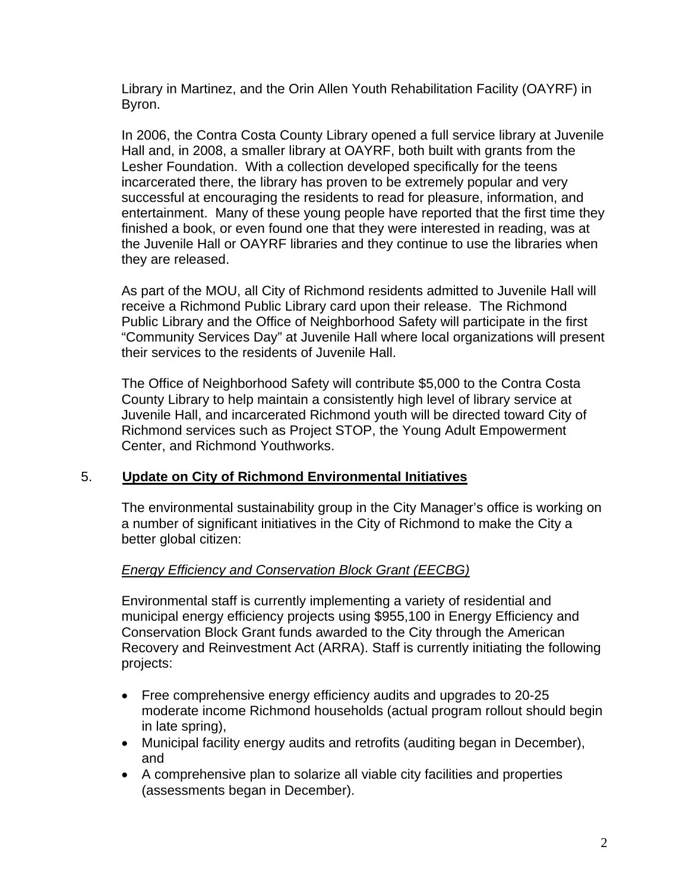Library in Martinez, and the Orin Allen Youth Rehabilitation Facility (OAYRF) in Byron.

In 2006, the Contra Costa County Library opened a full service library at Juvenile Hall and, in 2008, a smaller library at OAYRF, both built with grants from the Lesher Foundation. With a collection developed specifically for the teens incarcerated there, the library has proven to be extremely popular and very successful at encouraging the residents to read for pleasure, information, and entertainment. Many of these young people have reported that the first time they finished a book, or even found one that they were interested in reading, was at the Juvenile Hall or OAYRF libraries and they continue to use the libraries when they are released.

As part of the MOU, all City of Richmond residents admitted to Juvenile Hall will receive a Richmond Public Library card upon their release. The Richmond Public Library and the Office of Neighborhood Safety will participate in the first "Community Services Day" at Juvenile Hall where local organizations will present their services to the residents of Juvenile Hall.

The Office of Neighborhood Safety will contribute \$5,000 to the Contra Costa County Library to help maintain a consistently high level of library service at Juvenile Hall, and incarcerated Richmond youth will be directed toward City of Richmond services such as Project STOP, the Young Adult Empowerment Center, and Richmond Youthworks.

# 5. **Update on City of Richmond Environmental Initiatives**

The environmental sustainability group in the City Manager's office is working on a number of significant initiatives in the City of Richmond to make the City a better global citizen:

# *Energy Efficiency and Conservation Block Grant (EECBG)*

Environmental staff is currently implementing a variety of residential and municipal energy efficiency projects using \$955,100 in Energy Efficiency and Conservation Block Grant funds awarded to the City through the American Recovery and Reinvestment Act (ARRA). Staff is currently initiating the following projects:

- Free comprehensive energy efficiency audits and upgrades to 20-25 moderate income Richmond households (actual program rollout should begin in late spring),
- Municipal facility energy audits and retrofits (auditing began in December), and
- A comprehensive plan to solarize all viable city facilities and properties (assessments began in December).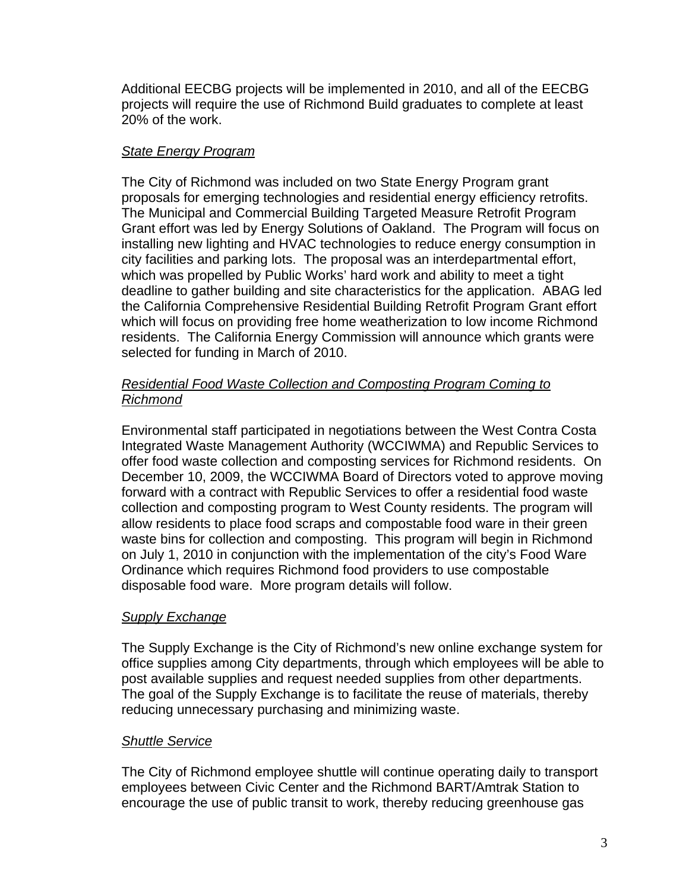Additional EECBG projects will be implemented in 2010, and all of the EECBG projects will require the use of Richmond Build graduates to complete at least 20% of the work.

### *State Energy Program*

The City of Richmond was included on two State Energy Program grant proposals for emerging technologies and residential energy efficiency retrofits. The Municipal and Commercial Building Targeted Measure Retrofit Program Grant effort was led by Energy Solutions of Oakland. The Program will focus on installing new lighting and HVAC technologies to reduce energy consumption in city facilities and parking lots. The proposal was an interdepartmental effort, which was propelled by Public Works' hard work and ability to meet a tight deadline to gather building and site characteristics for the application. ABAG led the California Comprehensive Residential Building Retrofit Program Grant effort which will focus on providing free home weatherization to low income Richmond residents. The California Energy Commission will announce which grants were selected for funding in March of 2010.

### *Residential Food Waste Collection and Composting Program Coming to Richmond*

Environmental staff participated in negotiations between the West Contra Costa Integrated Waste Management Authority (WCCIWMA) and Republic Services to offer food waste collection and composting services for Richmond residents. On December 10, 2009, the WCCIWMA Board of Directors voted to approve moving forward with a contract with Republic Services to offer a residential food waste collection and composting program to West County residents. The program will allow residents to place food scraps and compostable food ware in their green waste bins for collection and composting. This program will begin in Richmond on July 1, 2010 in conjunction with the implementation of the city's Food Ware Ordinance which requires Richmond food providers to use compostable disposable food ware. More program details will follow.

# *Supply Exchange*

The Supply Exchange is the City of Richmond's new online exchange system for office supplies among City departments, through which employees will be able to post available supplies and request needed supplies from other departments. The goal of the Supply Exchange is to facilitate the reuse of materials, thereby reducing unnecessary purchasing and minimizing waste.

#### *Shuttle Service*

The City of Richmond employee shuttle will continue operating daily to transport employees between Civic Center and the Richmond BART/Amtrak Station to encourage the use of public transit to work, thereby reducing greenhouse gas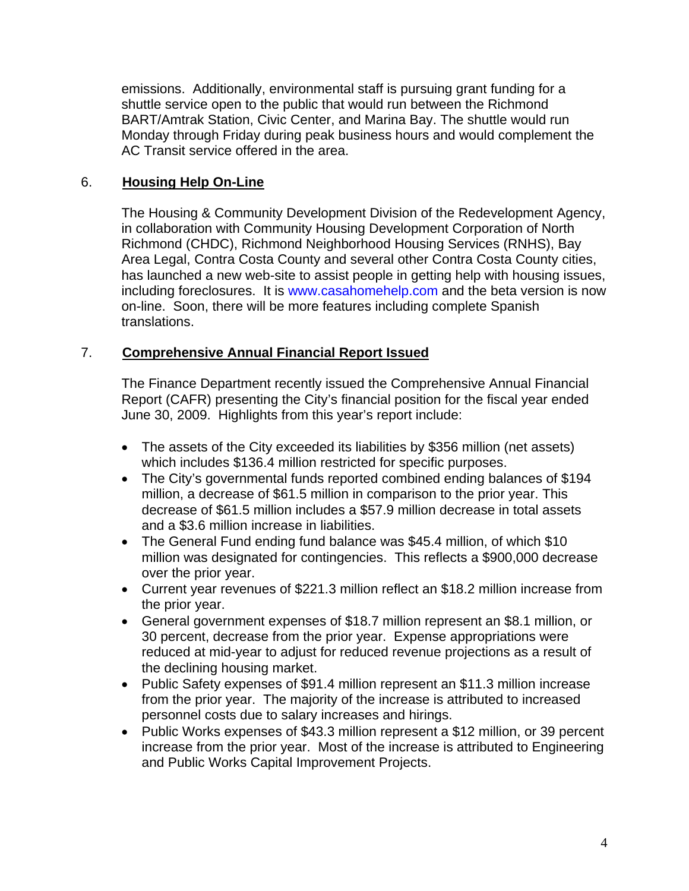emissions. Additionally, environmental staff is pursuing grant funding for a shuttle service open to the public that would run between the Richmond BART/Amtrak Station, Civic Center, and Marina Bay. The shuttle would run Monday through Friday during peak business hours and would complement the AC Transit service offered in the area.

### 6. **Housing Help On-Line**

The Housing & Community Development Division of the Redevelopment Agency, in collaboration with Community Housing Development Corporation of North Richmond (CHDC), Richmond Neighborhood Housing Services (RNHS), Bay Area Legal, Contra Costa County and several other Contra Costa County cities, has launched a new web-site to assist people in getting help with housing issues, including foreclosures. It is [www.casahomehelp.com](http://www.casahomehelp.com/) and the beta version is now on-line. Soon, there will be more features including complete Spanish translations.

#### 7. **Comprehensive Annual Financial Report Issued**

The Finance Department recently issued the Comprehensive Annual Financial Report (CAFR) presenting the City's financial position for the fiscal year ended June 30, 2009. Highlights from this year's report include:

- The assets of the City exceeded its liabilities by \$356 million (net assets) which includes \$136.4 million restricted for specific purposes.
- The City's governmental funds reported combined ending balances of \$194 million, a decrease of \$61.5 million in comparison to the prior year. This decrease of \$61.5 million includes a \$57.9 million decrease in total assets and a \$3.6 million increase in liabilities.
- The General Fund ending fund balance was \$45.4 million, of which \$10 million was designated for contingencies. This reflects a \$900,000 decrease over the prior year.
- Current year revenues of \$221.3 million reflect an \$18.2 million increase from the prior year.
- General government expenses of \$18.7 million represent an \$8.1 million, or 30 percent, decrease from the prior year. Expense appropriations were reduced at mid-year to adjust for reduced revenue projections as a result of the declining housing market.
- Public Safety expenses of \$91.4 million represent an \$11.3 million increase from the prior year. The majority of the increase is attributed to increased personnel costs due to salary increases and hirings.
- Public Works expenses of \$43.3 million represent a \$12 million, or 39 percent increase from the prior year. Most of the increase is attributed to Engineering and Public Works Capital Improvement Projects.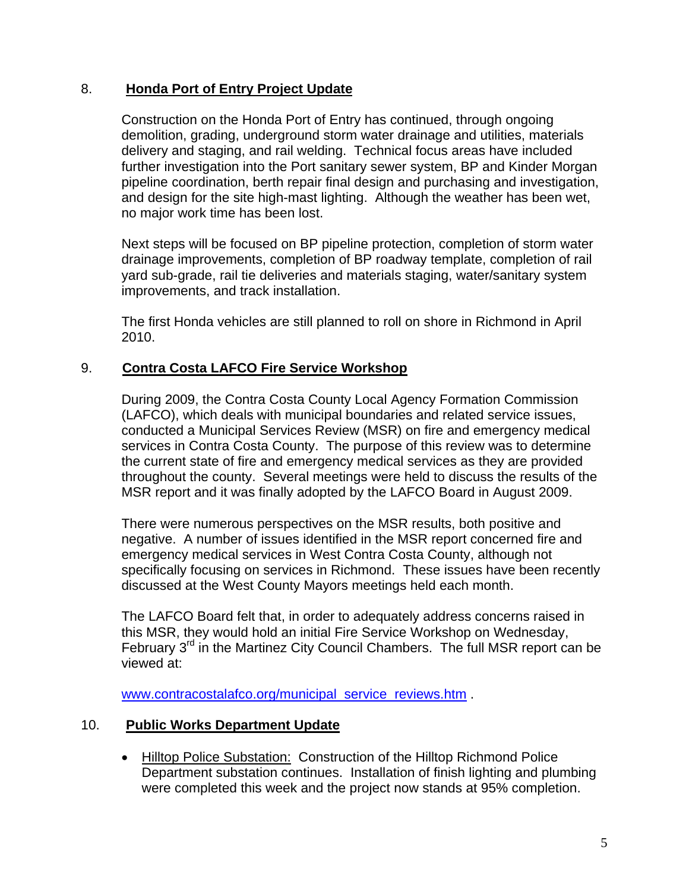#### 8. **Honda Port of Entry Project Update**

Construction on the Honda Port of Entry has continued, through ongoing demolition, grading, underground storm water drainage and utilities, materials delivery and staging, and rail welding. Technical focus areas have included further investigation into the Port sanitary sewer system, BP and Kinder Morgan pipeline coordination, berth repair final design and purchasing and investigation, and design for the site high-mast lighting. Although the weather has been wet, no major work time has been lost.

Next steps will be focused on BP pipeline protection, completion of storm water drainage improvements, completion of BP roadway template, completion of rail yard sub-grade, rail tie deliveries and materials staging, water/sanitary system improvements, and track installation.

The first Honda vehicles are still planned to roll on shore in Richmond in April 2010.

#### 9. **Contra Costa LAFCO Fire Service Workshop**

During 2009, the Contra Costa County Local Agency Formation Commission (LAFCO), which deals with municipal boundaries and related service issues, conducted a Municipal Services Review (MSR) on fire and emergency medical services in Contra Costa County. The purpose of this review was to determine the current state of fire and emergency medical services as they are provided throughout the county. Several meetings were held to discuss the results of the MSR report and it was finally adopted by the LAFCO Board in August 2009.

There were numerous perspectives on the MSR results, both positive and negative. A number of issues identified in the MSR report concerned fire and emergency medical services in West Contra Costa County, although not specifically focusing on services in Richmond. These issues have been recently discussed at the West County Mayors meetings held each month.

The LAFCO Board felt that, in order to adequately address concerns raised in this MSR, they would hold an initial Fire Service Workshop on Wednesday, February  $3<sup>rd</sup>$  in the Martinez City Council Chambers. The full MSR report can be viewed at:

[www.contracostalafco.org/municipal\\_service\\_reviews.htm](http://www.contracostalafco.org/municipal_service_reviews.htm) .

#### 10. **Public Works Department Update**

• Hilltop Police Substation: Construction of the Hilltop Richmond Police Department substation continues. Installation of finish lighting and plumbing were completed this week and the project now stands at 95% completion.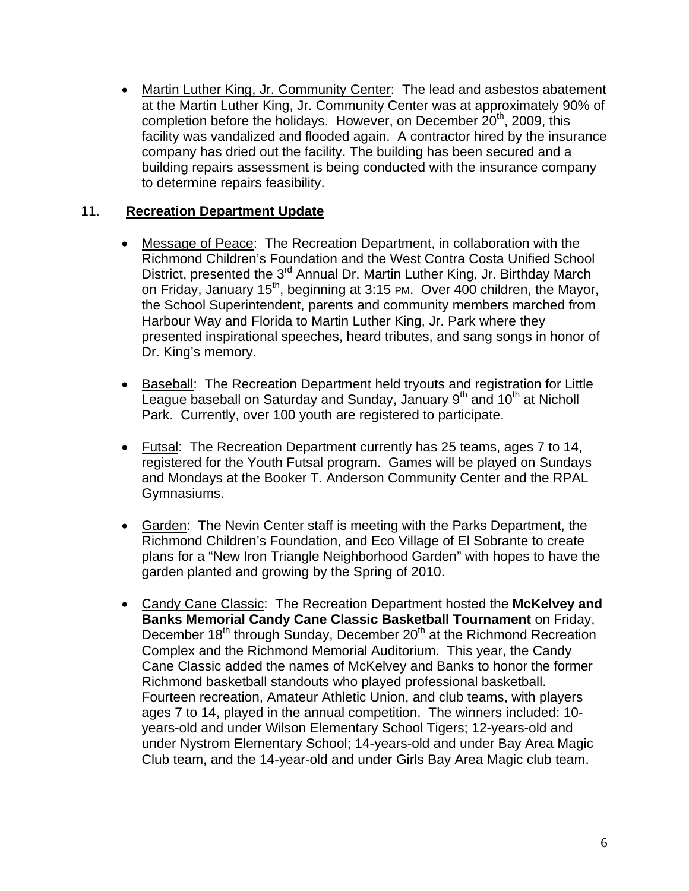• Martin Luther King, Jr. Community Center: The lead and asbestos abatement at the Martin Luther King, Jr. Community Center was at approximately 90% of completion before the holidays. However, on December 20<sup>th</sup>, 2009, this facility was vandalized and flooded again. A contractor hired by the insurance company has dried out the facility. The building has been secured and a building repairs assessment is being conducted with the insurance company to determine repairs feasibility.

### 11. **Recreation Department Update**

- Message of Peace: The Recreation Department, in collaboration with the Richmond Children's Foundation and the West Contra Costa Unified School District, presented the 3<sup>rd</sup> Annual Dr. Martin Luther King, Jr. Birthday March on Friday, January 15<sup>th</sup>, beginning at 3:15 PM. Over 400 children, the Mayor, the School Superintendent, parents and community members marched from Harbour Way and Florida to Martin Luther King, Jr. Park where they presented inspirational speeches, heard tributes, and sang songs in honor of Dr. King's memory.
- Baseball: The Recreation Department held tryouts and registration for Little League baseball on Saturday and Sunday, January  $9<sup>th</sup>$  and 10<sup>th</sup> at Nicholl Park. Currently, over 100 youth are registered to participate.
- Futsal: The Recreation Department currently has 25 teams, ages 7 to 14, registered for the Youth Futsal program. Games will be played on Sundays and Mondays at the Booker T. Anderson Community Center and the RPAL Gymnasiums.
- Garden: The Nevin Center staff is meeting with the Parks Department, the Richmond Children's Foundation, and Eco Village of El Sobrante to create plans for a "New Iron Triangle Neighborhood Garden" with hopes to have the garden planted and growing by the Spring of 2010.
- Candy Cane Classic: The Recreation Department hosted the **McKelvey and Banks Memorial Candy Cane Classic Basketball Tournament** on Friday, December 18<sup>th</sup> through Sunday, December 20<sup>th</sup> at the Richmond Recreation Complex and the Richmond Memorial Auditorium. This year, the Candy Cane Classic added the names of McKelvey and Banks to honor the former Richmond basketball standouts who played professional basketball. Fourteen recreation, Amateur Athletic Union, and club teams, with players ages 7 to 14, played in the annual competition. The winners included: 10 years-old and under Wilson Elementary School Tigers; 12-years-old and under Nystrom Elementary School; 14-years-old and under Bay Area Magic Club team, and the 14-year-old and under Girls Bay Area Magic club team.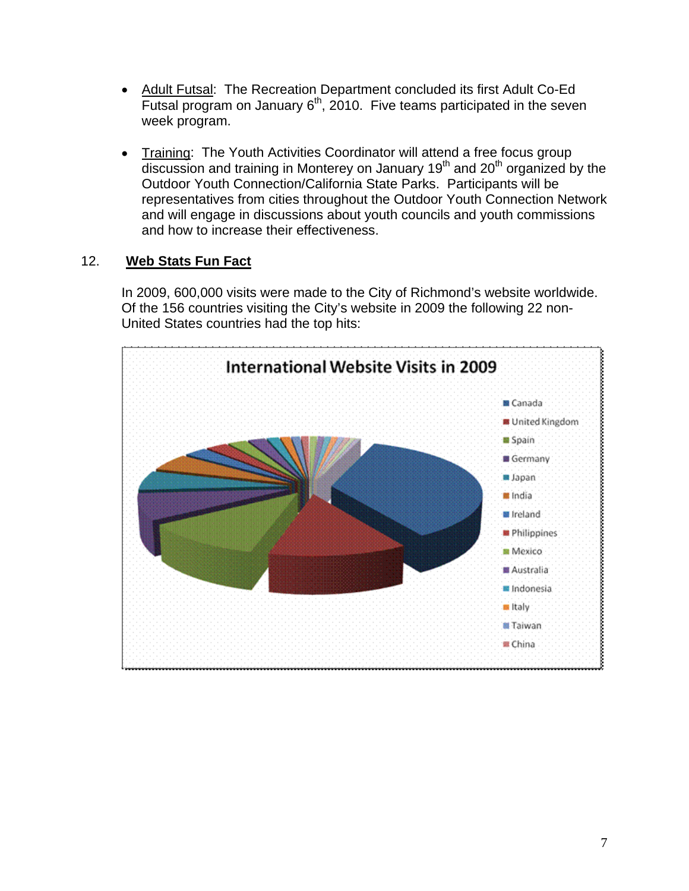- Adult Futsal: The Recreation Department concluded its first Adult Co-Ed Futsal program on January 6<sup>th</sup>, 2010. Five teams participated in the seven week program.
- Training: The Youth Activities Coordinator will attend a free focus group  $\overline{\text{discussion}}$  and training in Monterey on January 19<sup>th</sup> and 20<sup>th</sup> organized by the Outdoor Youth Connection/California State Parks. Participants will be representatives from cities throughout the Outdoor Youth Connection Network and will engage in discussions about youth councils and youth commissions and how to increase their effectiveness.

# 12. **Web Stats Fun Fact**

In 2009, 600,000 visits were made to the City of Richmond's website worldwide. Of the 156 countries visiting the City's website in 2009 the following 22 non-United States countries had the top hits: